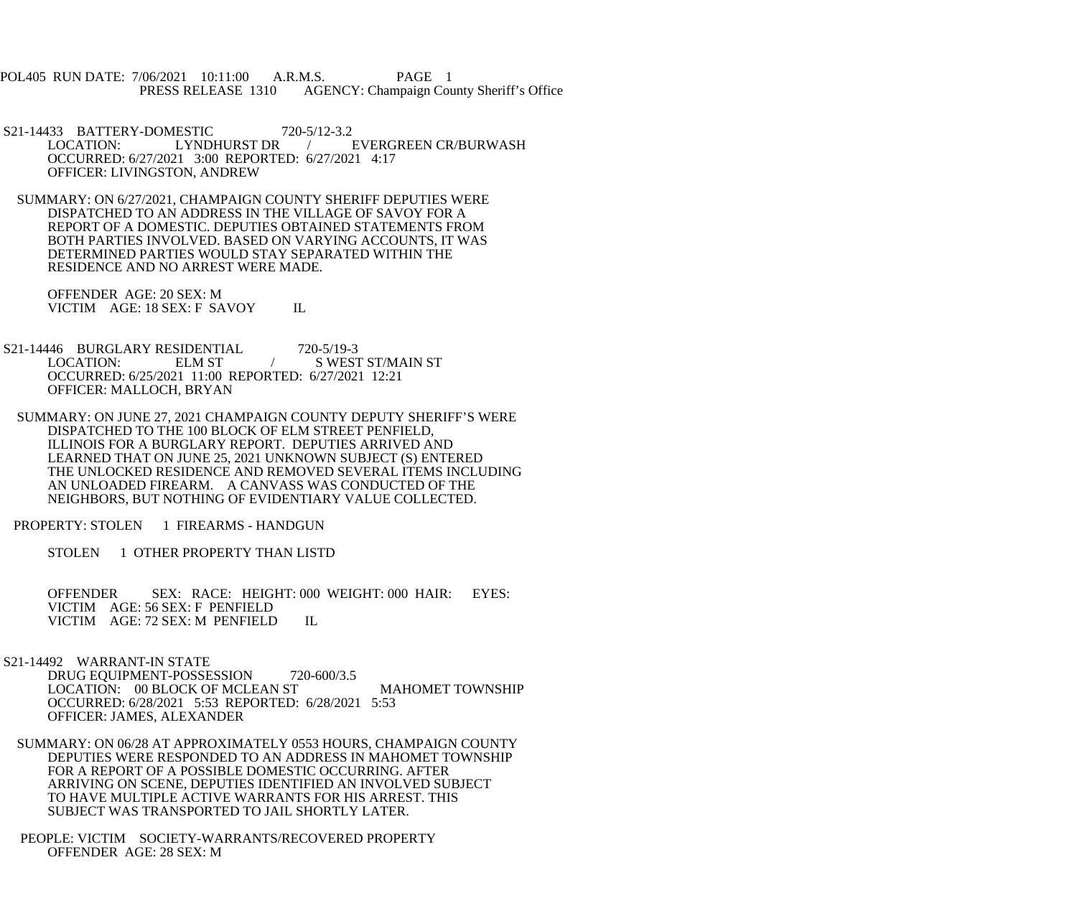POL405 RUN DATE: 7/06/2021 10:11:00 A.R.M.S. PAGE 1<br>PRESS RELEASE 1310 AGENCY: Champaign Cou AGENCY: Champaign County Sheriff's Office

S21-14433 BATTERY-DOMESTIC 720-5/12-3.2<br>LOCATION: LYNDHURST DR EVERGREEN CR/BURWASH OCCURRED: 6/27/2021 3:00 REPORTED: 6/27/2021 4:17 OFFICER: LIVINGSTON, ANDREW

 SUMMARY: ON 6/27/2021, CHAMPAIGN COUNTY SHERIFF DEPUTIES WERE DISPATCHED TO AN ADDRESS IN THE VILLAGE OF SAVOY FOR A REPORT OF A DOMESTIC. DEPUTIES OBTAINED STATEMENTS FROM BOTH PARTIES INVOLVED. BASED ON VARYING ACCOUNTS, IT WAS DETERMINED PARTIES WOULD STAY SEPARATED WITHIN THE RESIDENCE AND NO ARREST WERE MADE.

 OFFENDER AGE: 20 SEX: M VICTIM AGE: 18 SEX: F SAVOY IL

S21-14446 BURGLARY RESIDENTIAL 720-5/19-3<br>LOCATION: ELM ST / SWEST ELM ST  $/$  S WEST ST/MAIN ST OCCURRED: 6/25/2021 11:00 REPORTED: 6/27/2021 12:21 OFFICER: MALLOCH, BRYAN

 SUMMARY: ON JUNE 27, 2021 CHAMPAIGN COUNTY DEPUTY SHERIFF'S WERE DISPATCHED TO THE 100 BLOCK OF ELM STREET PENFIELD, ILLINOIS FOR A BURGLARY REPORT. DEPUTIES ARRIVED AND LEARNED THAT ON JUNE 25, 2021 UNKNOWN SUBJECT (S) ENTERED THE UNLOCKED RESIDENCE AND REMOVED SEVERAL ITEMS INCLUDING AN UNLOADED FIREARM. A CANVASS WAS CONDUCTED OF THE NEIGHBORS, BUT NOTHING OF EVIDENTIARY VALUE COLLECTED.

PROPERTY: STOLEN 1 FIREARMS - HANDGUN

STOLEN 1 OTHER PROPERTY THAN LISTD

 OFFENDER SEX: RACE: HEIGHT: 000 WEIGHT: 000 HAIR: EYES: VICTIM AGE: 56 SEX: F PENFIELD VICTIM AGE: 72 SEX: M PENFIELD IL

S21-14492 WARRANT-IN STATE

DRUG EQUIPMENT-POSSESSION 720-600/3.5 LOCATION: 00 BLOCK OF MCLEAN ST MAHOMET TOWNSHIP OCCURRED: 6/28/2021 5:53 REPORTED: 6/28/2021 5:53 OFFICER: JAMES, ALEXANDER

- SUMMARY: ON 06/28 AT APPROXIMATELY 0553 HOURS, CHAMPAIGN COUNTY DEPUTIES WERE RESPONDED TO AN ADDRESS IN MAHOMET TOWNSHIP FOR A REPORT OF A POSSIBLE DOMESTIC OCCURRING. AFTER ARRIVING ON SCENE, DEPUTIES IDENTIFIED AN INVOLVED SUBJECT TO HAVE MULTIPLE ACTIVE WARRANTS FOR HIS ARREST. THIS SUBJECT WAS TRANSPORTED TO JAIL SHORTLY LATER.
- PEOPLE: VICTIM SOCIETY-WARRANTS/RECOVERED PROPERTY OFFENDER AGE: 28 SEX: M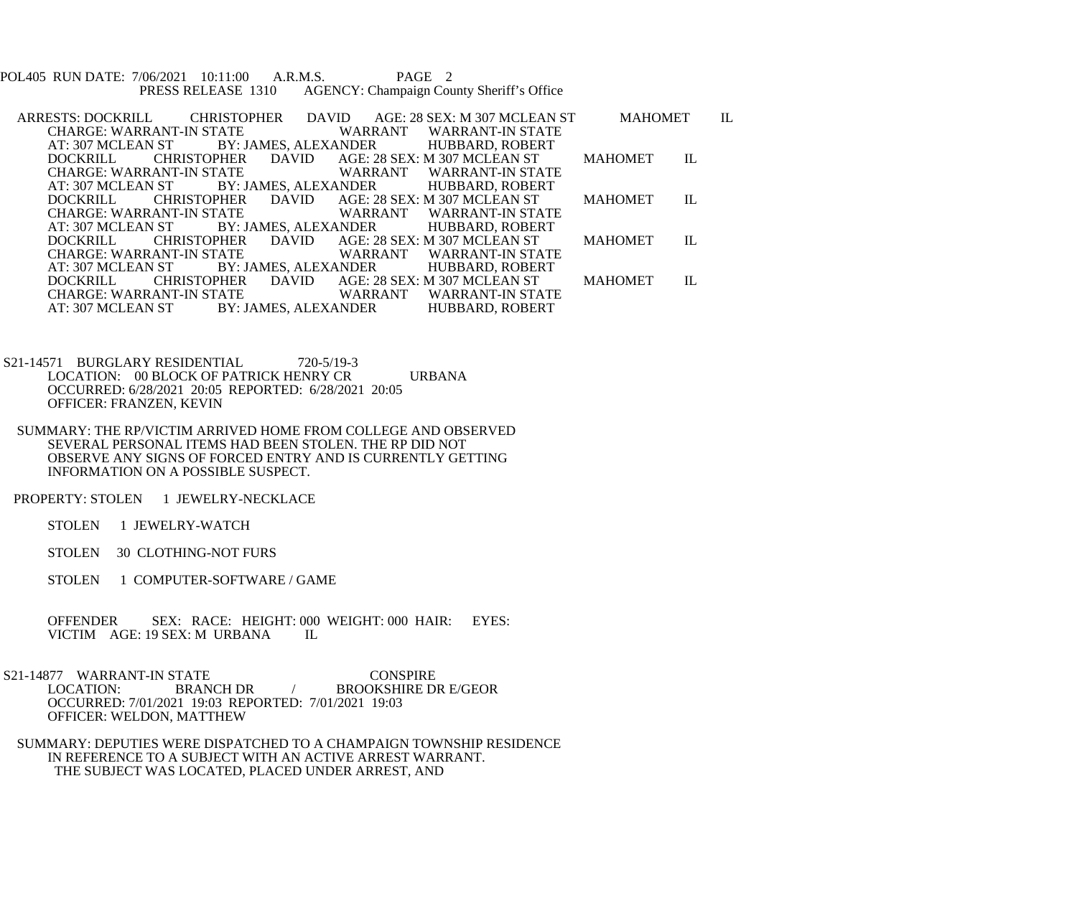POL405 RUN DATE: 7/06/2021 10:11:00 A.R.M.S. PAGE 2<br>PRESS RELEASE 1310 AGENCY: Champaign Cou AGENCY: Champaign County Sheriff's Office

- ARRESTS: DOCKRILL CHRISTOPHER DAVID AGE: 28 SEX: M 307 MCLEAN ST MAHOMET IL CHARGE: WARRANT-IN STATE WARRANT WARRANT-IN STATE<br>AT: 307 MCLEAN ST BY: JAMES, ALEXANDER HUBBARD, ROBERT I ST BY: JAMES, ALEXANDER<br>CHRISTOPHER DAVID AGE: 2 DOCKRILL CHRISTOPHER DAVID AGE: 28 SEX: M 307 MCLEAN ST MAHOMET IL CHARGE: WARRANT-IN STATE WARRANT WARRANT-IN STATI<br>AT: 307 MCLEAN ST BY: JAMES, ALEXANDER HUBBARD, ROBERT AT: 307 MCLEAN ST BY: JAMES, ALEXANDER<br>DOCKRILL CHRISTOPHER DAVID AGE: 2 AGE: 28 SEX: M 307 MCLEAN ST MAHOMET IL WARRANT WARRANT-IN STATE CHARGE: WARRANT-IN STATE WARRANT WARRANT-IN STATI<br>AT: 307 MCLEAN ST BY: JAMES, ALEXANDER HUBBARD, ROBERT VST BY: JAMES, ALEXANDER<br>CHRISTOPHER DAVID AGE: 2 DOCKRILL CHRISTOPHER DAVID AGE: 28 SEX: M 307 MCLEAN ST MAHOMET IL CHARGE: WARRANT-IN STATE WARRANT WARRANT-IN STATE<br>AT: 307 MCLEAN ST BY: JAMES, ALEXANDER HUBBARD, ROBERT AT: 307 MCLEAN ST BY: JAMES, ALEXANDER<br>DOCKRILL CHRISTOPHER DAVID AGE: 2 DOCKRILL CHRISTOPHER DAVID AGE: 28 SEX: M 307 MCLEAN ST MAHOMET IL CHARGE: WARRANT-IN STATE WARRANT WARRANT-IN STATE<br>AT: 307 MCLEAN ST BY: JAMES. ALEXANDER HUBBARD. ROBERT BY: JAMES, ALEXANDER HUBBARD, ROBERT
- S21-14571 BURGLARY RESIDENTIAL 720-5/19-3 LOCATION: 00 BLOCK OF PATRICK HENRY CR URBANA OCCURRED: 6/28/2021 20:05 REPORTED: 6/28/2021 20:05 OFFICER: FRANZEN, KEVIN
- SUMMARY: THE RP/VICTIM ARRIVED HOME FROM COLLEGE AND OBSERVED SEVERAL PERSONAL ITEMS HAD BEEN STOLEN. THE RP DID NOT OBSERVE ANY SIGNS OF FORCED ENTRY AND IS CURRENTLY GETTING INFORMATION ON A POSSIBLE SUSPECT.
- PROPERTY: STOLEN 1 JEWELRY-NECKLACE
	- STOLEN 1 JEWELRY-WATCH
	- STOLEN 30 CLOTHING-NOT FURS
	- STOLEN 1 COMPUTER-SOFTWARE / GAME
	- OFFENDER SEX: RACE: HEIGHT: 000 WEIGHT: 000 HAIR: EYES:<br>VICTIM AGE: 19 SEX: M URBANA II. VICTIM AGE: 19 SEX: M URBANA
- S21-14877 WARRANT-IN STATE CONSPIRE<br>LOCATION: BRANCH DR / BROOKSHIRE D BROOKSHIRE DR E/GEOR OCCURRED: 7/01/2021 19:03 REPORTED: 7/01/2021 19:03 OFFICER: WELDON, MATTHEW
	- SUMMARY: DEPUTIES WERE DISPATCHED TO A CHAMPAIGN TOWNSHIP RESIDENCE IN REFERENCE TO A SUBJECT WITH AN ACTIVE ARREST WARRANT. THE SUBJECT WAS LOCATED, PLACED UNDER ARREST, AND